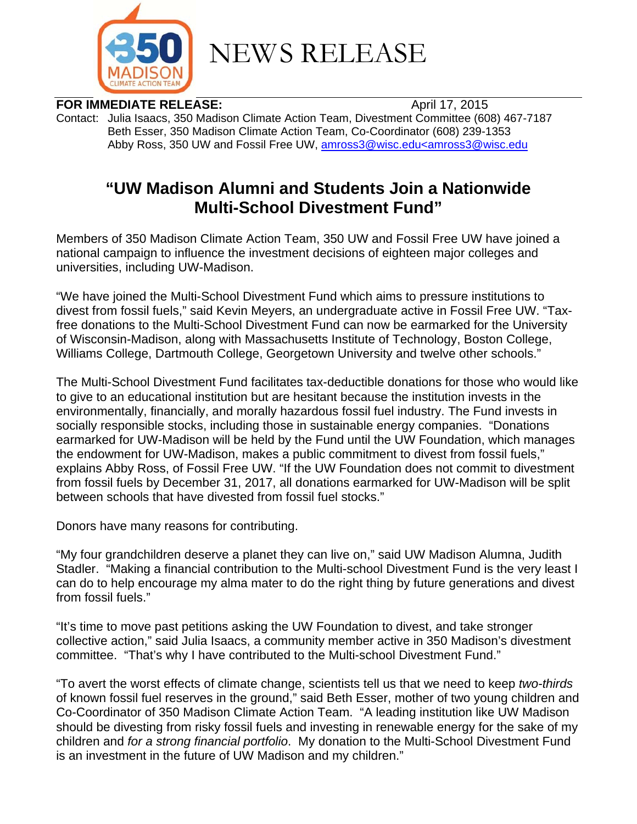

NEWS RELEASE

**FOR IMMEDIATE RELEASE:** April 17, 2015

Contact: Julia Isaacs, 350 Madison Climate Action Team, Divestment Committee (608) 467-7187 Beth Esser, 350 Madison Climate Action Team, Co-Coordinator (608) 239-1353 Abby Ross, 350 UW and Fossil Free UW, amross3@wisc.edu<amross3@wisc.edu

## **"UW Madison Alumni and Students Join a Nationwide Multi-School Divestment Fund"**

Members of 350 Madison Climate Action Team, 350 UW and Fossil Free UW have joined a national campaign to influence the investment decisions of eighteen major colleges and universities, including UW-Madison.

"We have joined the Multi-School Divestment Fund which aims to pressure institutions to divest from fossil fuels," said Kevin Meyers, an undergraduate active in Fossil Free UW. "Taxfree donations to the Multi-School Divestment Fund can now be earmarked for the University of Wisconsin-Madison, along with Massachusetts Institute of Technology, Boston College, Williams College, Dartmouth College, Georgetown University and twelve other schools."

The Multi-School Divestment Fund facilitates tax-deductible donations for those who would like to give to an educational institution but are hesitant because the institution invests in the environmentally, financially, and morally hazardous fossil fuel industry. The Fund invests in socially responsible stocks, including those in sustainable energy companies. "Donations earmarked for UW-Madison will be held by the Fund until the UW Foundation, which manages the endowment for UW-Madison, makes a public commitment to divest from fossil fuels," explains Abby Ross, of Fossil Free UW. "If the UW Foundation does not commit to divestment from fossil fuels by December 31, 2017, all donations earmarked for UW-Madison will be split between schools that have divested from fossil fuel stocks."

Donors have many reasons for contributing.

"My four grandchildren deserve a planet they can live on," said UW Madison Alumna, Judith Stadler. "Making a financial contribution to the Multi-school Divestment Fund is the very least I can do to help encourage my alma mater to do the right thing by future generations and divest from fossil fuels."

"It's time to move past petitions asking the UW Foundation to divest, and take stronger collective action," said Julia Isaacs, a community member active in 350 Madison's divestment committee. "That's why I have contributed to the Multi-school Divestment Fund."

"To avert the worst effects of climate change, scientists tell us that we need to keep *two-thirds* of known fossil fuel reserves in the ground," said Beth Esser, mother of two young children and Co-Coordinator of 350 Madison Climate Action Team. "A leading institution like UW Madison should be divesting from risky fossil fuels and investing in renewable energy for the sake of my children and *for a strong financial portfolio*. My donation to the Multi-School Divestment Fund is an investment in the future of UW Madison and my children."